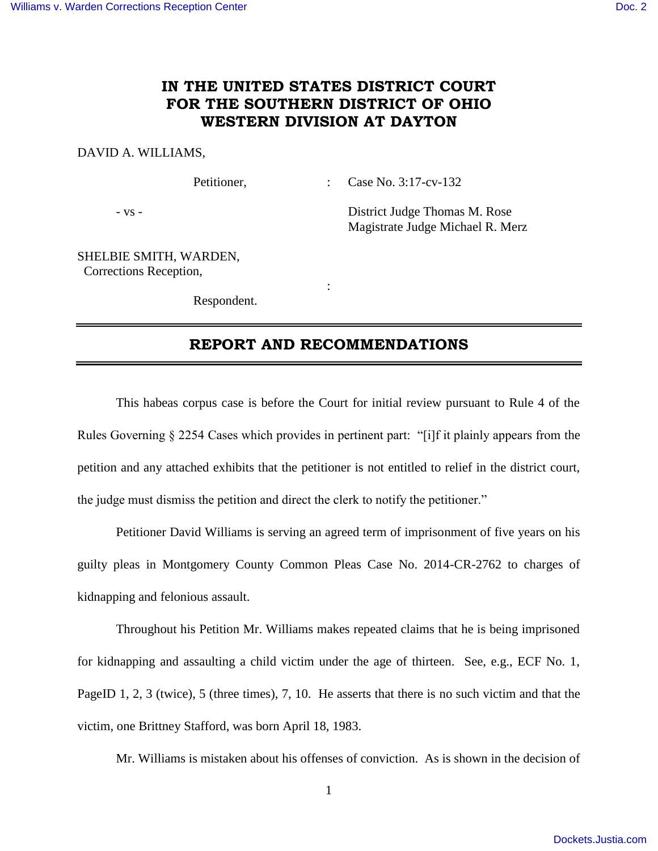## **IN THE UNITED STATES DISTRICT COURT FOR THE SOUTHERN DISTRICT OF OHIO WESTERN DIVISION AT DAYTON**

#### DAVID A. WILLIAMS,

Petitioner, : Case No. 3:17-cv-132

- vs - District Judge Thomas M. Rose Magistrate Judge Michael R. Merz

SHELBIE SMITH, WARDEN, Corrections Reception,

Respondent.

**Service State State State** 

## **REPORT AND RECOMMENDATIONS**

 This habeas corpus case is before the Court for initial review pursuant to Rule 4 of the Rules Governing § 2254 Cases which provides in pertinent part: "[i]f it plainly appears from the petition and any attached exhibits that the petitioner is not entitled to relief in the district court, the judge must dismiss the petition and direct the clerk to notify the petitioner."

 Petitioner David Williams is serving an agreed term of imprisonment of five years on his guilty pleas in Montgomery County Common Pleas Case No. 2014-CR-2762 to charges of kidnapping and felonious assault.

 Throughout his Petition Mr. Williams makes repeated claims that he is being imprisoned for kidnapping and assaulting a child victim under the age of thirteen. See, e.g., ECF No. 1, PageID 1, 2, 3 (twice), 5 (three times), 7, 10. He asserts that there is no such victim and that the victim, one Brittney Stafford, was born April 18, 1983.

Mr. Williams is mistaken about his offenses of conviction. As is shown in the decision of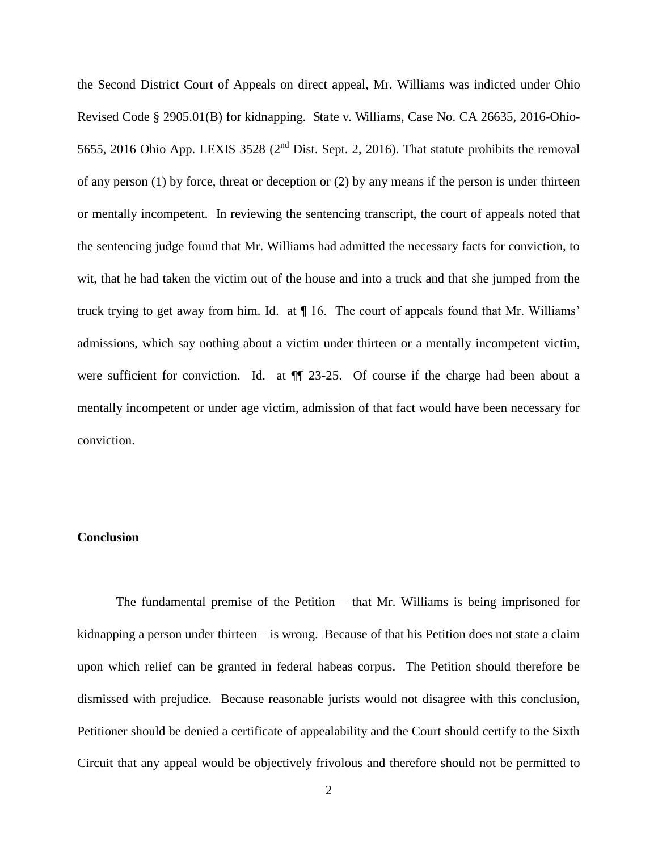the Second District Court of Appeals on direct appeal, Mr. Williams was indicted under Ohio Revised Code § 2905.01(B) for kidnapping. State v. Williams, Case No. CA 26635, 2016-Ohio-5655, 2016 Ohio App. LEXIS 3528 (2<sup>nd</sup> Dist. Sept. 2, 2016). That statute prohibits the removal of any person (1) by force, threat or deception or (2) by any means if the person is under thirteen or mentally incompetent. In reviewing the sentencing transcript, the court of appeals noted that the sentencing judge found that Mr. Williams had admitted the necessary facts for conviction, to wit, that he had taken the victim out of the house and into a truck and that she jumped from the truck trying to get away from him. Id. at ¶ 16. The court of appeals found that Mr. Williams' admissions, which say nothing about a victim under thirteen or a mentally incompetent victim, were sufficient for conviction. Id. at  $\P$  23-25. Of course if the charge had been about a mentally incompetent or under age victim, admission of that fact would have been necessary for conviction.

#### **Conclusion**

 The fundamental premise of the Petition – that Mr. Williams is being imprisoned for kidnapping a person under thirteen – is wrong. Because of that his Petition does not state a claim upon which relief can be granted in federal habeas corpus. The Petition should therefore be dismissed with prejudice. Because reasonable jurists would not disagree with this conclusion, Petitioner should be denied a certificate of appealability and the Court should certify to the Sixth Circuit that any appeal would be objectively frivolous and therefore should not be permitted to